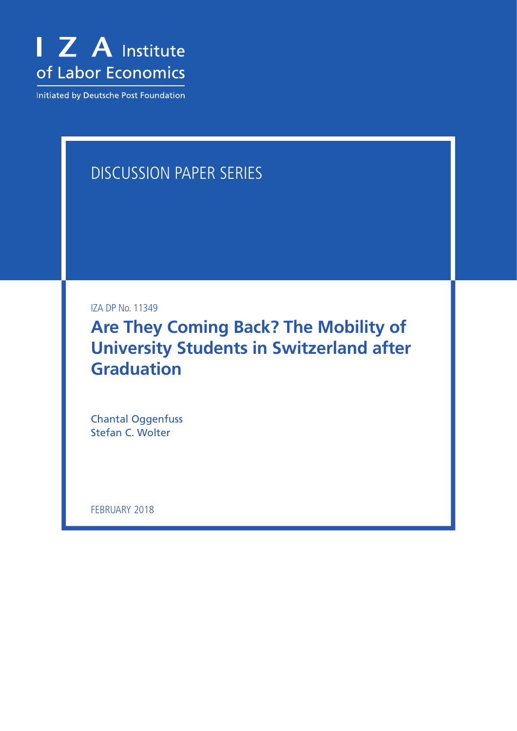

Initiated by Deutsche Post Foundation

## DISCUSSION PAPER SERIES

IZA DP No. 11349

**Are They Coming Back? The Mobility of University Students in Switzerland after Graduation**

Chantal Oggenfuss Stefan C. Wolter

FEBRUARY 2018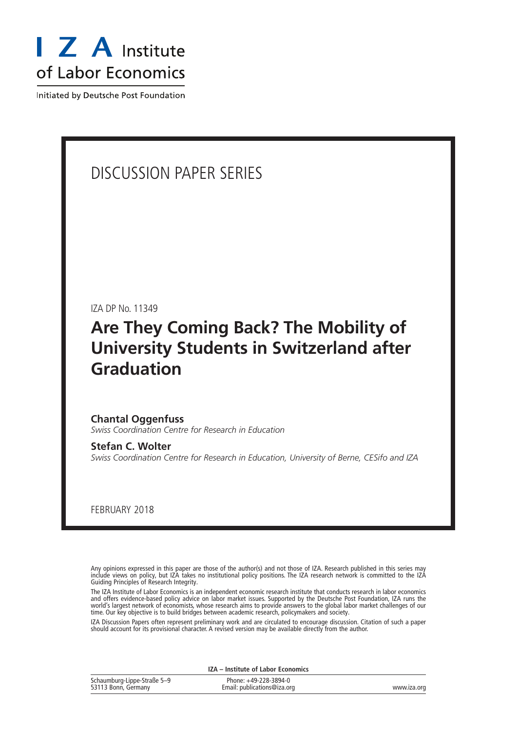

Initiated by Deutsche Post Foundation

### DISCUSSION PAPER SERIES

IZA DP No. 11349

## **Are They Coming Back? The Mobility of University Students in Switzerland after Graduation**

#### **Chantal Oggenfuss**

*Swiss Coordination Centre for Research in Education*

**Stefan C. Wolter**

*Swiss Coordination Centre for Research in Education, University of Berne, CESifo and IZA*

FEBRUARY 2018

Any opinions expressed in this paper are those of the author(s) and not those of IZA. Research published in this series may include views on policy, but IZA takes no institutional policy positions. The IZA research network is committed to the IZA Guiding Principles of Research Integrity.

The IZA Institute of Labor Economics is an independent economic research institute that conducts research in labor economics and offers evidence-based policy advice on labor market issues. Supported by the Deutsche Post Foundation, IZA runs the world's largest network of economists, whose research aims to provide answers to the global labor market challenges of our time. Our key objective is to build bridges between academic research, policymakers and society.

IZA Discussion Papers often represent preliminary work and are circulated to encourage discussion. Citation of such a paper should account for its provisional character. A revised version may be available directly from the author.

|                             | <b>IZA</b> – Institute of Labor Economics |  |
|-----------------------------|-------------------------------------------|--|
| Schaumburg-Lippe-Straße 5-9 | Phone: +49-228-3894-0                     |  |
| 53113 Bonn, Germany         | Email: publications@iza.org               |  |

| Email: publications@iza.org | www.iza.org |
|-----------------------------|-------------|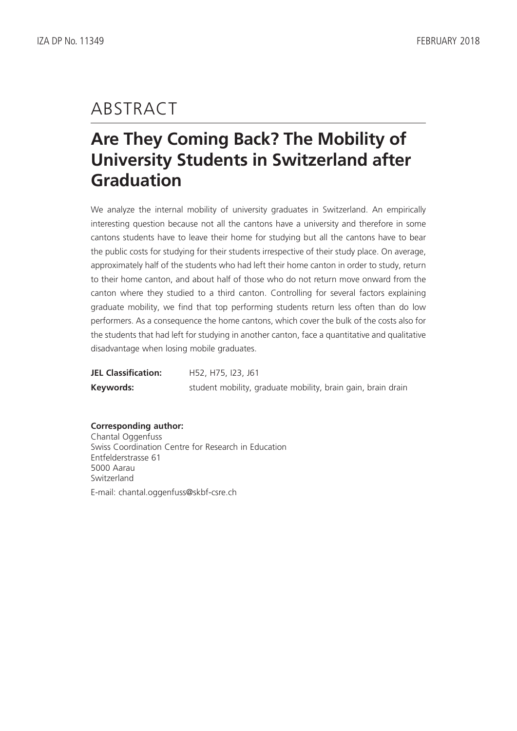## ABSTRACT

# **Are They Coming Back? The Mobility of University Students in Switzerland after Graduation**

We analyze the internal mobility of university graduates in Switzerland. An empirically interesting question because not all the cantons have a university and therefore in some cantons students have to leave their home for studying but all the cantons have to bear the public costs for studying for their students irrespective of their study place. On average, approximately half of the students who had left their home canton in order to study, return to their home canton, and about half of those who do not return move onward from the canton where they studied to a third canton. Controlling for several factors explaining graduate mobility, we find that top performing students return less often than do low performers. As a consequence the home cantons, which cover the bulk of the costs also for the students that had left for studying in another canton, face a quantitative and qualitative disadvantage when losing mobile graduates.

| <b>JEL Classification:</b> | H52, H75, I23, J61                                           |
|----------------------------|--------------------------------------------------------------|
| Keywords:                  | student mobility, graduate mobility, brain gain, brain drain |

**Corresponding author:** Chantal Oggenfuss Swiss Coordination Centre for Research in Education Entfelderstrasse 61 5000 Aarau Switzerland E-mail: chantal.oggenfuss@skbf-csre.ch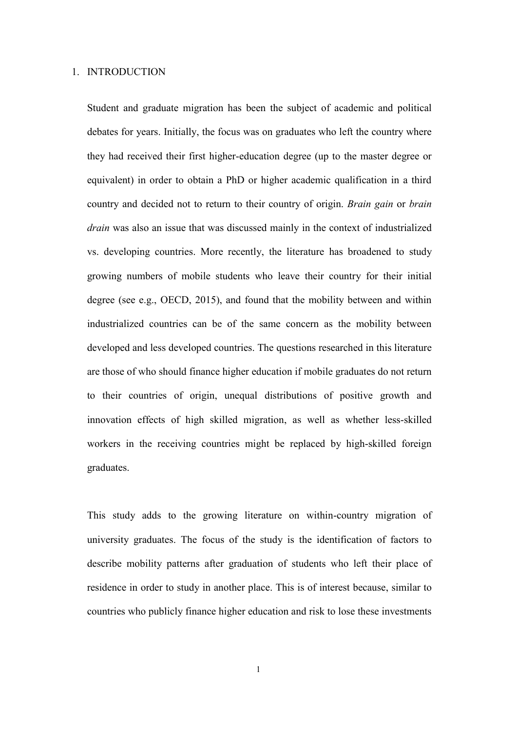#### 1. INTRODUCTION

Student and graduate migration has been the subject of academic and political debates for years. Initially, the focus was on graduates who left the country where they had received their first higher-education degree (up to the master degree or equivalent) in order to obtain a PhD or higher academic qualification in a third country and decided not to return to their country of origin. *Brain gain* or *brain drain* was also an issue that was discussed mainly in the context of industrialized vs. developing countries. More recently, the literature has broadened to study growing numbers of mobile students who leave their country for their initial degree (see e.g., OECD, 2015), and found that the mobility between and within industrialized countries can be of the same concern as the mobility between developed and less developed countries. The questions researched in this literature are those of who should finance higher education if mobile graduates do not return to their countries of origin, unequal distributions of positive growth and innovation effects of high skilled migration, as well as whether less-skilled workers in the receiving countries might be replaced by high-skilled foreign graduates.

This study adds to the growing literature on within-country migration of university graduates. The focus of the study is the identification of factors to describe mobility patterns after graduation of students who left their place of residence in order to study in another place. This is of interest because, similar to countries who publicly finance higher education and risk to lose these investments

1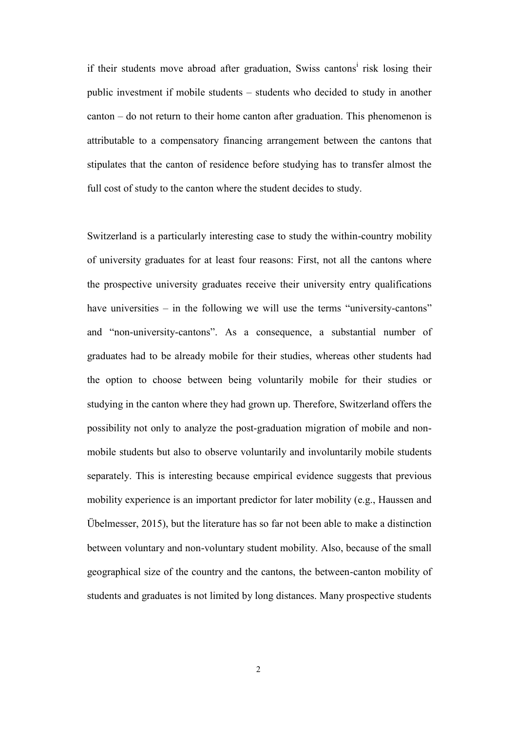if their students move abroad after graduation, Swiss cantons<sup>i</sup> risk losing their public investment if mobile students – students who decided to study in another canton – do not return to their home canton after graduation. This phenomenon is attributable to a compensatory financing arrangement between the cantons that stipulates that the canton of residence before studying has to transfer almost the full cost of study to the canton where the student decides to study.

Switzerland is a particularly interesting case to study the within-country mobility of university graduates for at least four reasons: First, not all the cantons where the prospective university graduates receive their university entry qualifications have universities – in the following we will use the terms "university-cantons" and "non-university-cantons". As a consequence, a substantial number of graduates had to be already mobile for their studies, whereas other students had the option to choose between being voluntarily mobile for their studies or studying in the canton where they had grown up. Therefore, Switzerland offers the possibility not only to analyze the post-graduation migration of mobile and nonmobile students but also to observe voluntarily and involuntarily mobile students separately. This is interesting because empirical evidence suggests that previous mobility experience is an important predictor for later mobility (e.g., Haussen and Übelmesser, 2015), but the literature has so far not been able to make a distinction between voluntary and non-voluntary student mobility. Also, because of the small geographical size of the country and the cantons, the between-canton mobility of students and graduates is not limited by long distances. Many prospective students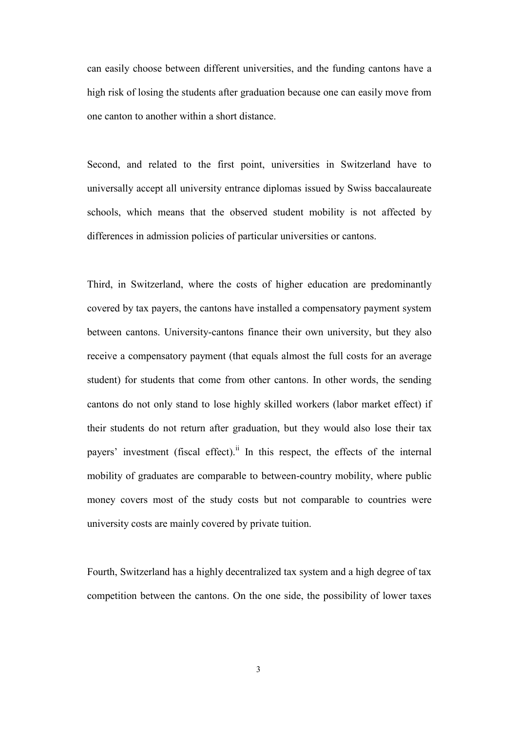can easily choose between different universities, and the funding cantons have a high risk of losing the students after graduation because one can easily move from one canton to another within a short distance.

Second, and related to the first point, universities in Switzerland have to universally accept all university entrance diplomas issued by Swiss baccalaureate schools, which means that the observed student mobility is not affected by differences in admission policies of particular universities or cantons.

Third, in Switzerland, where the costs of higher education are predominantly covered by tax payers, the cantons have installed a compensatory payment system between cantons. University-cantons finance their own university, but they also receive a compensatory payment (that equals almost the full costs for an average student) for students that come from other cantons. In other words, the sending cantons do not only stand to lose highly skilled workers (labor market effect) if their students do not return after graduation, but they would also lose their tax payers' investment (fiscal effect).<sup>ii</sup> In this respect, the effects of the internal mobility of graduates are comparable to between-country mobility, where public money covers most of the study costs but not comparable to countries were university costs are mainly covered by private tuition.

Fourth, Switzerland has a highly decentralized tax system and a high degree of tax competition between the cantons. On the one side, the possibility of lower taxes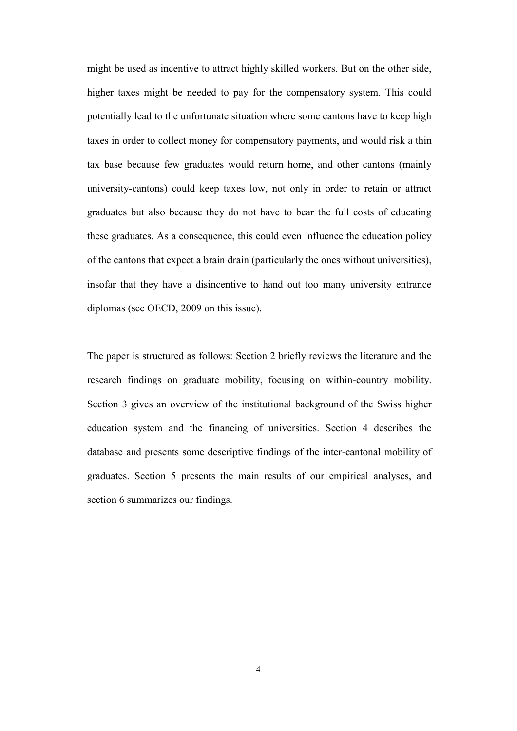might be used as incentive to attract highly skilled workers. But on the other side, higher taxes might be needed to pay for the compensatory system. This could potentially lead to the unfortunate situation where some cantons have to keep high taxes in order to collect money for compensatory payments, and would risk a thin tax base because few graduates would return home, and other cantons (mainly university-cantons) could keep taxes low, not only in order to retain or attract graduates but also because they do not have to bear the full costs of educating these graduates. As a consequence, this could even influence the education policy of the cantons that expect a brain drain (particularly the ones without universities), insofar that they have a disincentive to hand out too many university entrance diplomas (see OECD, 2009 on this issue).

The paper is structured as follows: Section 2 briefly reviews the literature and the research findings on graduate mobility, focusing on within-country mobility. Section 3 gives an overview of the institutional background of the Swiss higher education system and the financing of universities. Section 4 describes the database and presents some descriptive findings of the inter-cantonal mobility of graduates. Section 5 presents the main results of our empirical analyses, and section 6 summarizes our findings.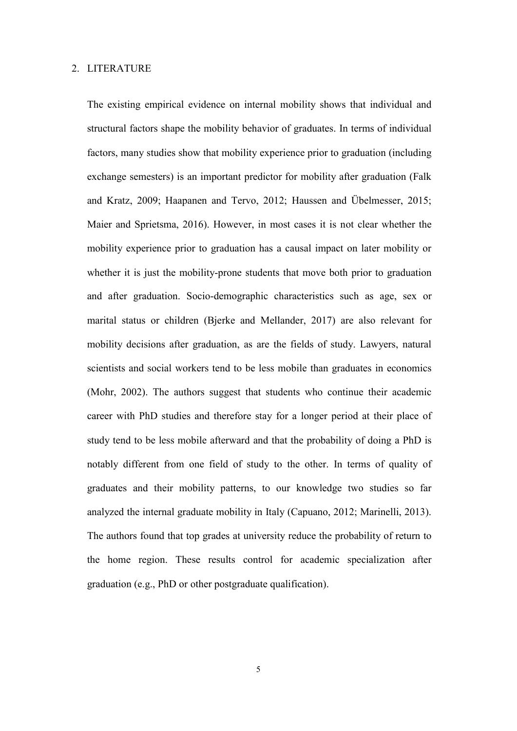#### 2. LITERATURE

The existing empirical evidence on internal mobility shows that individual and structural factors shape the mobility behavior of graduates. In terms of individual factors, many studies show that mobility experience prior to graduation (including exchange semesters) is an important predictor for mobility after graduation (Falk and Kratz, 2009; Haapanen and Tervo, 2012; Haussen and Übelmesser, 2015; Maier and Sprietsma, 2016). However, in most cases it is not clear whether the mobility experience prior to graduation has a causal impact on later mobility or whether it is just the mobility-prone students that move both prior to graduation and after graduation. Socio-demographic characteristics such as age, sex or marital status or children (Bjerke and Mellander, 2017) are also relevant for mobility decisions after graduation, as are the fields of study. Lawyers, natural scientists and social workers tend to be less mobile than graduates in economics (Mohr, 2002). The authors suggest that students who continue their academic career with PhD studies and therefore stay for a longer period at their place of study tend to be less mobile afterward and that the probability of doing a PhD is notably different from one field of study to the other. In terms of quality of graduates and their mobility patterns, to our knowledge two studies so far analyzed the internal graduate mobility in Italy (Capuano, 2012; Marinelli, 2013). The authors found that top grades at university reduce the probability of return to the home region. These results control for academic specialization after graduation (e.g., PhD or other postgraduate qualification).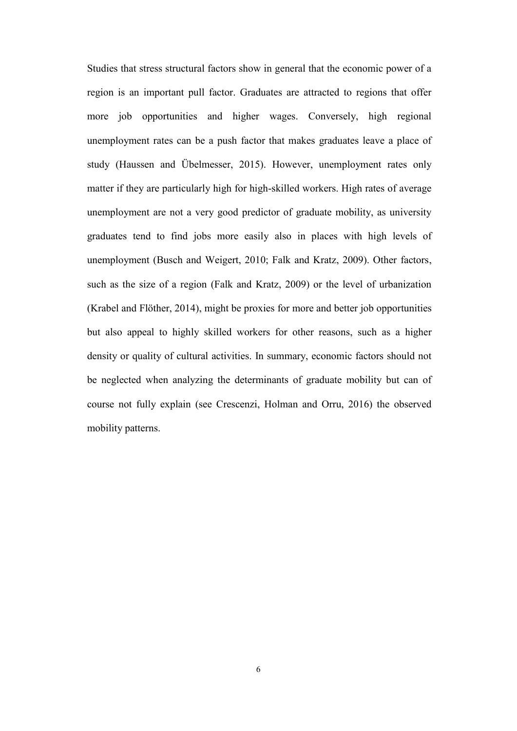Studies that stress structural factors show in general that the economic power of a region is an important pull factor. Graduates are attracted to regions that offer more job opportunities and higher wages. Conversely, high regional unemployment rates can be a push factor that makes graduates leave a place of study (Haussen and Übelmesser, 2015). However, unemployment rates only matter if they are particularly high for high-skilled workers. High rates of average unemployment are not a very good predictor of graduate mobility, as university graduates tend to find jobs more easily also in places with high levels of unemployment (Busch and Weigert, 2010; Falk and Kratz, 2009). Other factors, such as the size of a region (Falk and Kratz, 2009) or the level of urbanization (Krabel and Flöther, 2014), might be proxies for more and better job opportunities but also appeal to highly skilled workers for other reasons, such as a higher density or quality of cultural activities. In summary, economic factors should not be neglected when analyzing the determinants of graduate mobility but can of course not fully explain (see Crescenzi, Holman and Orru, 2016) the observed mobility patterns.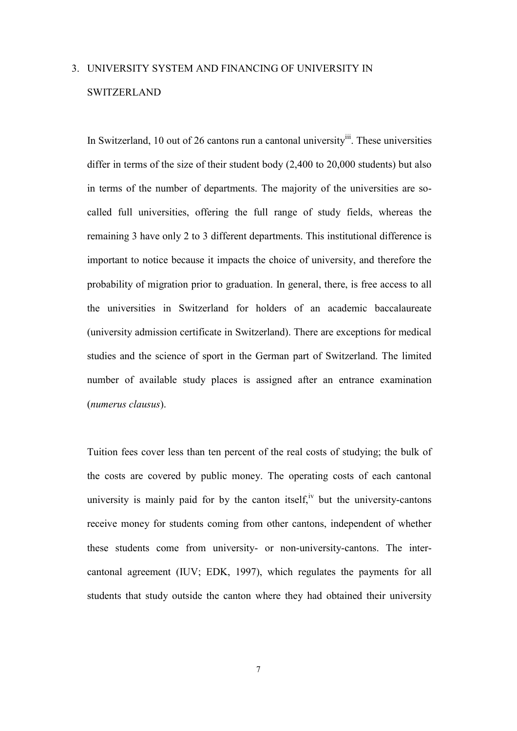### 3. UNIVERSITY SYSTEM AND FINANCING OF UNIVERSITY IN SWITZERLAND

In Switzerland, 10 out of 26 cantons run a cantonal university<sup>iii</sup>. These universities differ in terms of the size of their student body (2,400 to 20,000 students) but also in terms of the number of departments. The majority of the universities are socalled full universities, offering the full range of study fields, whereas the remaining 3 have only 2 to 3 different departments. This institutional difference is important to notice because it impacts the choice of university, and therefore the probability of migration prior to graduation. In general, there, is free access to all the universities in Switzerland for holders of an academic baccalaureate (university admission certificate in Switzerland). There are exceptions for medical studies and the science of sport in the German part of Switzerland. The limited number of available study places is assigned after an entrance examination (*numerus clausus*).

Tuition fees cover less than ten percent of the real costs of studying; the bulk of the costs are covered by public money. The operating costs of each cantonal university is mainly paid for by the canton itself,<sup> $\dot{v}$ </sup> but the university-cantons receive money for students coming from other cantons, independent of whether these students come from university- or non-university-cantons. The intercantonal agreement (IUV; EDK, 1997), which regulates the payments for all students that study outside the canton where they had obtained their university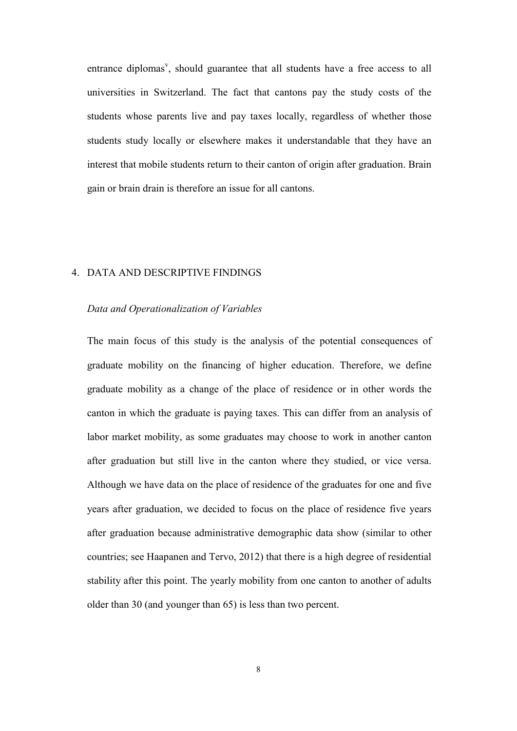entrance diplomas<sup>v</sup>, should guarantee that all students have a free access to all universities in Switzerland. The fact that cantons pay the study costs of the students whose parents live and pay taxes locally, regardless of whether those students study locally or elsewhere makes it understandable that they have an interest that mobile students return to their canton of origin after graduation. Brain gain or brain drain is therefore an issue for all cantons.

#### 4. DATA AND DESCRIPTIVE FINDINGS

#### *Data and Operationalization of Variables*

The main focus of this study is the analysis of the potential consequences of graduate mobility on the financing of higher education. Therefore, we define graduate mobility as a change of the place of residence or in other words the canton in which the graduate is paying taxes. This can differ from an analysis of labor market mobility, as some graduates may choose to work in another canton after graduation but still live in the canton where they studied, or vice versa. Although we have data on the place of residence of the graduates for one and five years after graduation, we decided to focus on the place of residence five years after graduation because administrative demographic data show (similar to other countries; see Haapanen and Tervo, 2012) that there is a high degree of residential stability after this point. The yearly mobility from one canton to another of adults older than 30 (and younger than 65) is less than two percent.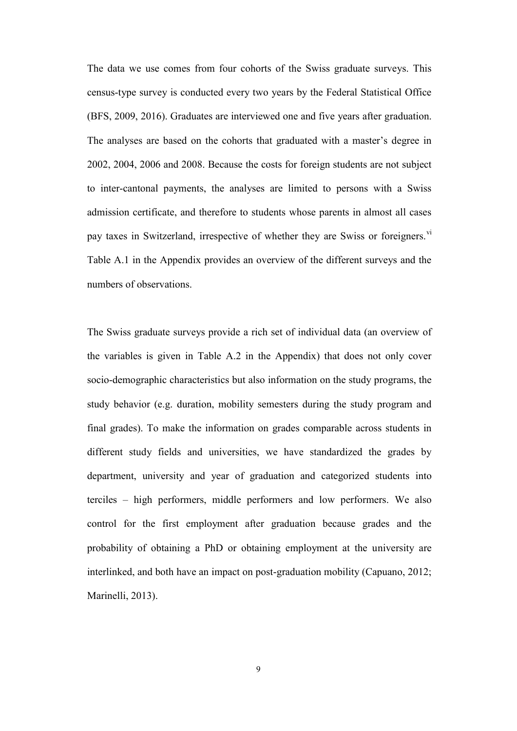The data we use comes from four cohorts of the Swiss graduate surveys. This census-type survey is conducted every two years by the Federal Statistical Office (BFS, 2009, 2016). Graduates are interviewed one and five years after graduation. The analyses are based on the cohorts that graduated with a master's degree in 2002, 2004, 2006 and 2008. Because the costs for foreign students are not subject to inter-cantonal payments, the analyses are limited to persons with a Swiss admission certificate, and therefore to students whose parents in almost all cases pay taxes in Switzerland, irrespective of whether they are Swiss or foreigners.<sup>vi</sup> Table A.1 in the Appendix provides an overview of the different surveys and the numbers of observations.

The Swiss graduate surveys provide a rich set of individual data (an overview of the variables is given in Table A.2 in the Appendix) that does not only cover socio-demographic characteristics but also information on the study programs, the study behavior (e.g. duration, mobility semesters during the study program and final grades). To make the information on grades comparable across students in different study fields and universities, we have standardized the grades by department, university and year of graduation and categorized students into terciles – high performers, middle performers and low performers. We also control for the first employment after graduation because grades and the probability of obtaining a PhD or obtaining employment at the university are interlinked, and both have an impact on post-graduation mobility (Capuano, 2012; Marinelli, 2013).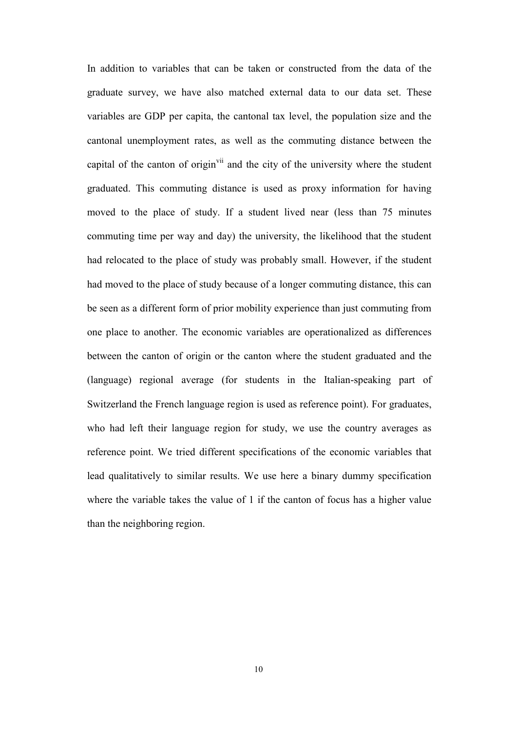In addition to variables that can be taken or constructed from the data of the graduate survey, we have also matched external data to our data set. These variables are GDP per capita, the cantonal tax level, the population size and the cantonal unemployment rates, as well as the commuting distance between the capital of the canton of origin<sup>vii</sup> and the city of the university where the student graduated. This commuting distance is used as proxy information for having moved to the place of study. If a student lived near (less than 75 minutes commuting time per way and day) the university, the likelihood that the student had relocated to the place of study was probably small. However, if the student had moved to the place of study because of a longer commuting distance, this can be seen as a different form of prior mobility experience than just commuting from one place to another. The economic variables are operationalized as differences between the canton of origin or the canton where the student graduated and the (language) regional average (for students in the Italian-speaking part of Switzerland the French language region is used as reference point). For graduates, who had left their language region for study, we use the country averages as reference point. We tried different specifications of the economic variables that lead qualitatively to similar results. We use here a binary dummy specification where the variable takes the value of 1 if the canton of focus has a higher value than the neighboring region.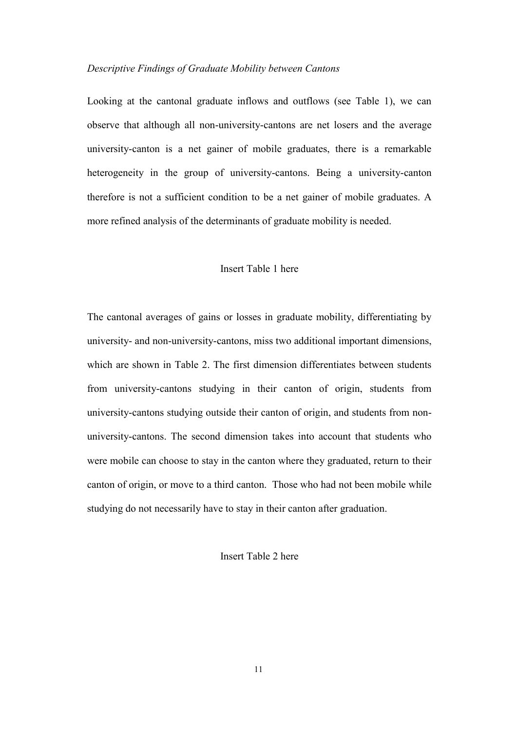#### *Descriptive Findings of Graduate Mobility between Cantons*

Looking at the cantonal graduate inflows and outflows (see Table 1), we can observe that although all non-university-cantons are net losers and the average university-canton is a net gainer of mobile graduates, there is a remarkable heterogeneity in the group of university-cantons. Being a university-canton therefore is not a sufficient condition to be a net gainer of mobile graduates. A more refined analysis of the determinants of graduate mobility is needed.

#### Insert Table 1 here

The cantonal averages of gains or losses in graduate mobility, differentiating by university- and non-university-cantons, miss two additional important dimensions, which are shown in Table 2. The first dimension differentiates between students from university-cantons studying in their canton of origin, students from university-cantons studying outside their canton of origin, and students from nonuniversity-cantons. The second dimension takes into account that students who were mobile can choose to stay in the canton where they graduated, return to their canton of origin, or move to a third canton. Those who had not been mobile while studying do not necessarily have to stay in their canton after graduation.

Insert Table 2 here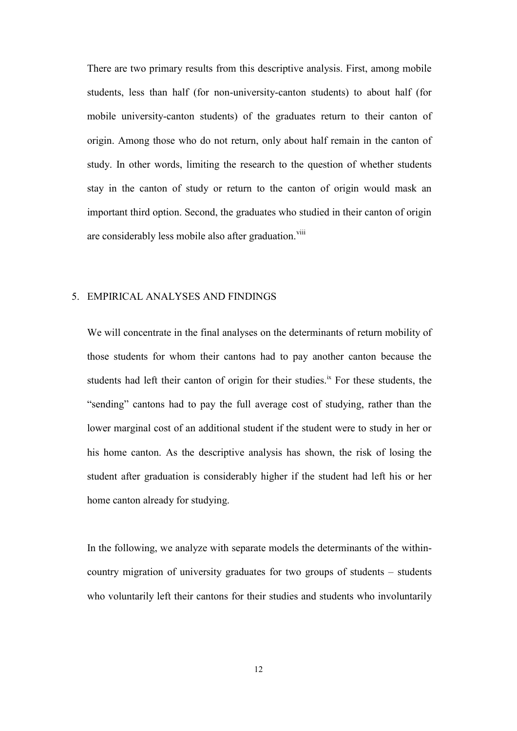There are two primary results from this descriptive analysis. First, among mobile students, less than half (for non-university-canton students) to about half (for mobile university-canton students) of the graduates return to their canton of origin. Among those who do not return, only about half remain in the canton of study. In other words, limiting the research to the question of whether students stay in the canton of study or return to the canton of origin would mask an important third option. Second, the graduates who studied in their canton of origin are considerably less mobile also after graduation.<sup>viii</sup>

#### 5. EMPIRICAL ANALYSES AND FINDINGS

We will concentrate in the final analyses on the determinants of return mobility of those students for whom their cantons had to pay another canton because the students had left their canton of origin for their studies.<sup>ix</sup> For these students, the "sending" cantons had to pay the full average cost of studying, rather than the lower marginal cost of an additional student if the student were to study in her or his home canton. As the descriptive analysis has shown, the risk of losing the student after graduation is considerably higher if the student had left his or her home canton already for studying.

In the following, we analyze with separate models the determinants of the withincountry migration of university graduates for two groups of students – students who voluntarily left their cantons for their studies and students who involuntarily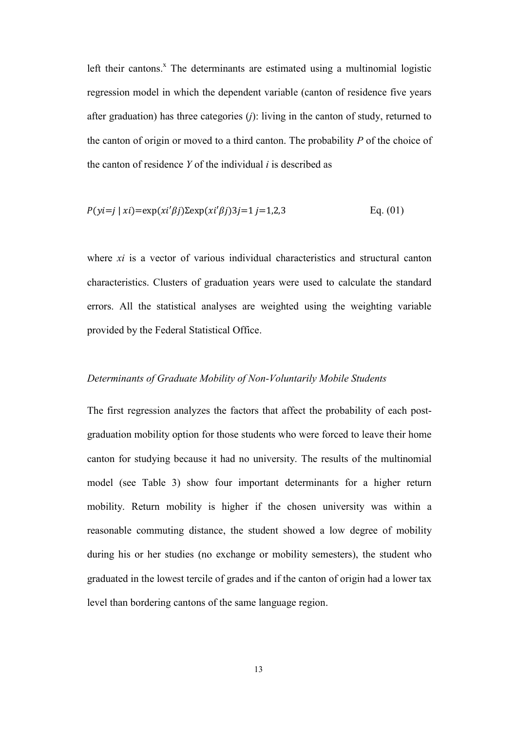left their cantons. $^x$  The determinants are estimated using a multinomial logistic regression model in which the dependent variable (canton of residence five years after graduation) has three categories (*j*): living in the canton of study, returned to the canton of origin or moved to a third canton. The probability *P* of the choice of the canton of residence *Y* of the individual *i* is described as

$$
P(yi=j \mid xi) = \exp(xi'\beta j)\text{Exp}(xi'\beta j)3j = 1 j = 1,2,3
$$
 Eq. (01)

where *xi* is a vector of various individual characteristics and structural canton characteristics. Clusters of graduation years were used to calculate the standard errors. All the statistical analyses are weighted using the weighting variable provided by the Federal Statistical Office.

#### *Determinants of Graduate Mobility of Non-Voluntarily Mobile Students*

The first regression analyzes the factors that affect the probability of each postgraduation mobility option for those students who were forced to leave their home canton for studying because it had no university. The results of the multinomial model (see Table 3) show four important determinants for a higher return mobility. Return mobility is higher if the chosen university was within a reasonable commuting distance, the student showed a low degree of mobility during his or her studies (no exchange or mobility semesters), the student who graduated in the lowest tercile of grades and if the canton of origin had a lower tax level than bordering cantons of the same language region.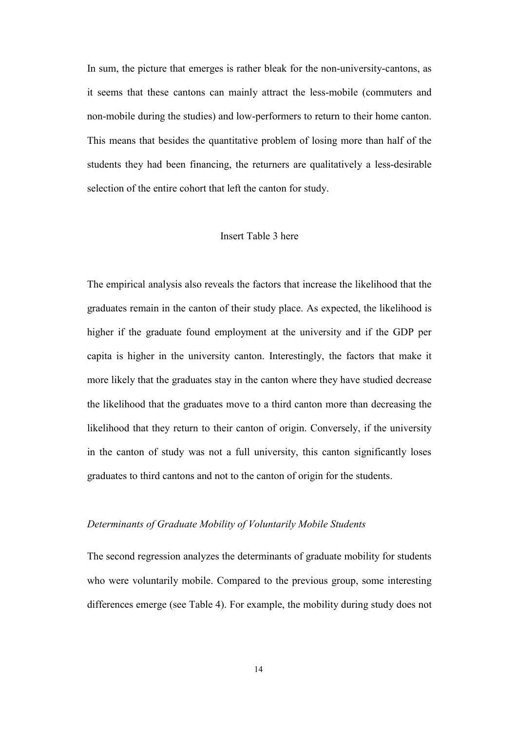In sum, the picture that emerges is rather bleak for the non-university-cantons, as it seems that these cantons can mainly attract the less-mobile (commuters and non-mobile during the studies) and low-performers to return to their home canton. This means that besides the quantitative problem of losing more than half of the students they had been financing, the returners are qualitatively a less-desirable selection of the entire cohort that left the canton for study.

#### Insert Table 3 here

The empirical analysis also reveals the factors that increase the likelihood that the graduates remain in the canton of their study place. As expected, the likelihood is higher if the graduate found employment at the university and if the GDP per capita is higher in the university canton. Interestingly, the factors that make it more likely that the graduates stay in the canton where they have studied decrease the likelihood that the graduates move to a third canton more than decreasing the likelihood that they return to their canton of origin. Conversely, if the university in the canton of study was not a full university, this canton significantly loses graduates to third cantons and not to the canton of origin for the students.

#### *Determinants of Graduate Mobility of Voluntarily Mobile Students*

The second regression analyzes the determinants of graduate mobility for students who were voluntarily mobile. Compared to the previous group, some interesting differences emerge (see Table 4). For example, the mobility during study does not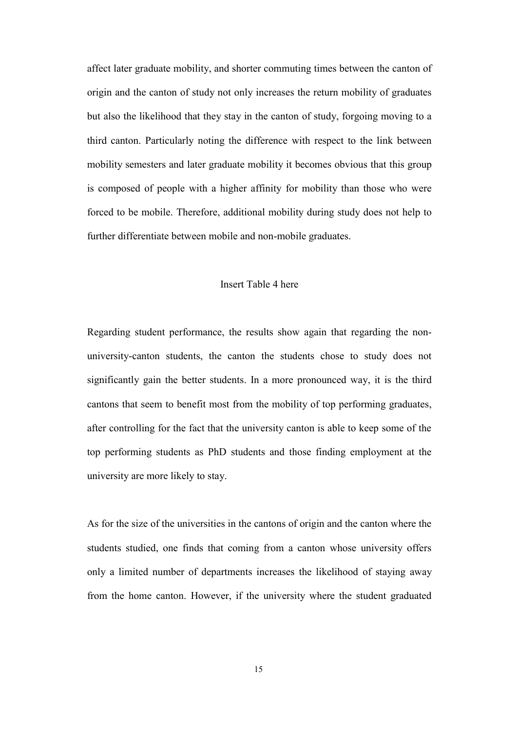affect later graduate mobility, and shorter commuting times between the canton of origin and the canton of study not only increases the return mobility of graduates but also the likelihood that they stay in the canton of study, forgoing moving to a third canton. Particularly noting the difference with respect to the link between mobility semesters and later graduate mobility it becomes obvious that this group is composed of people with a higher affinity for mobility than those who were forced to be mobile. Therefore, additional mobility during study does not help to further differentiate between mobile and non-mobile graduates.

#### Insert Table 4 here

Regarding student performance, the results show again that regarding the nonuniversity-canton students, the canton the students chose to study does not significantly gain the better students. In a more pronounced way, it is the third cantons that seem to benefit most from the mobility of top performing graduates, after controlling for the fact that the university canton is able to keep some of the top performing students as PhD students and those finding employment at the university are more likely to stay.

As for the size of the universities in the cantons of origin and the canton where the students studied, one finds that coming from a canton whose university offers only a limited number of departments increases the likelihood of staying away from the home canton. However, if the university where the student graduated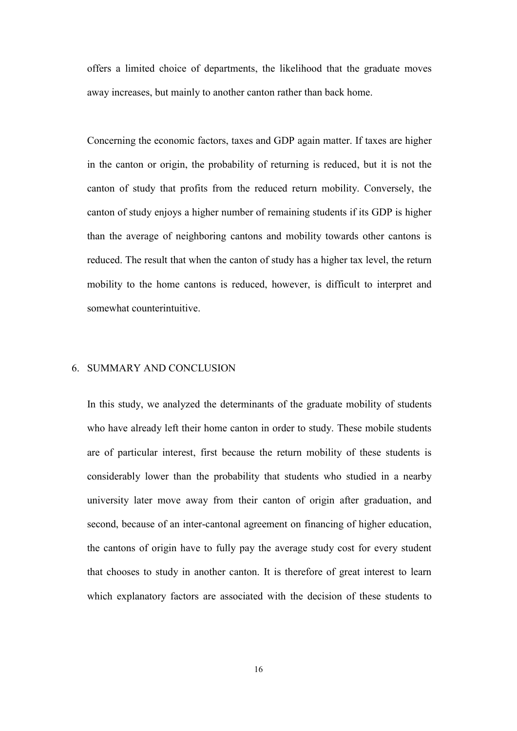offers a limited choice of departments, the likelihood that the graduate moves away increases, but mainly to another canton rather than back home.

Concerning the economic factors, taxes and GDP again matter. If taxes are higher in the canton or origin, the probability of returning is reduced, but it is not the canton of study that profits from the reduced return mobility. Conversely, the canton of study enjoys a higher number of remaining students if its GDP is higher than the average of neighboring cantons and mobility towards other cantons is reduced. The result that when the canton of study has a higher tax level, the return mobility to the home cantons is reduced, however, is difficult to interpret and somewhat counterintuitive.

#### 6. SUMMARY AND CONCLUSION

In this study, we analyzed the determinants of the graduate mobility of students who have already left their home canton in order to study. These mobile students are of particular interest, first because the return mobility of these students is considerably lower than the probability that students who studied in a nearby university later move away from their canton of origin after graduation, and second, because of an inter-cantonal agreement on financing of higher education, the cantons of origin have to fully pay the average study cost for every student that chooses to study in another canton. It is therefore of great interest to learn which explanatory factors are associated with the decision of these students to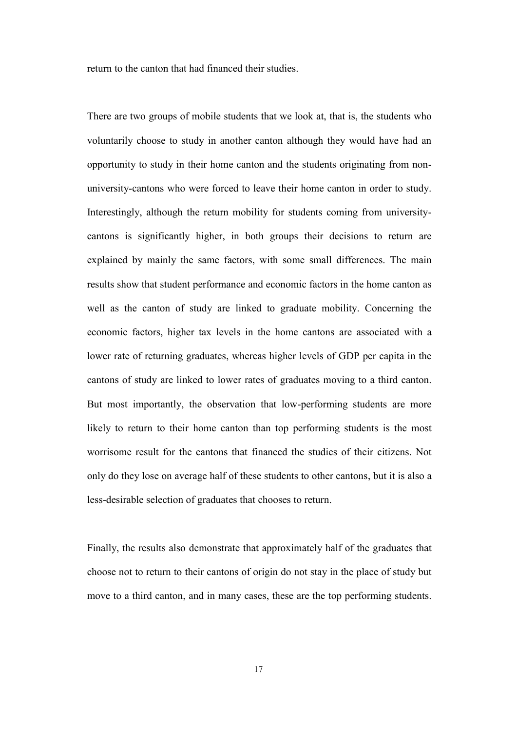return to the canton that had financed their studies.

There are two groups of mobile students that we look at, that is, the students who voluntarily choose to study in another canton although they would have had an opportunity to study in their home canton and the students originating from nonuniversity-cantons who were forced to leave their home canton in order to study. Interestingly, although the return mobility for students coming from universitycantons is significantly higher, in both groups their decisions to return are explained by mainly the same factors, with some small differences. The main results show that student performance and economic factors in the home canton as well as the canton of study are linked to graduate mobility. Concerning the economic factors, higher tax levels in the home cantons are associated with a lower rate of returning graduates, whereas higher levels of GDP per capita in the cantons of study are linked to lower rates of graduates moving to a third canton. But most importantly, the observation that low-performing students are more likely to return to their home canton than top performing students is the most worrisome result for the cantons that financed the studies of their citizens. Not only do they lose on average half of these students to other cantons, but it is also a less-desirable selection of graduates that chooses to return.

Finally, the results also demonstrate that approximately half of the graduates that choose not to return to their cantons of origin do not stay in the place of study but move to a third canton, and in many cases, these are the top performing students.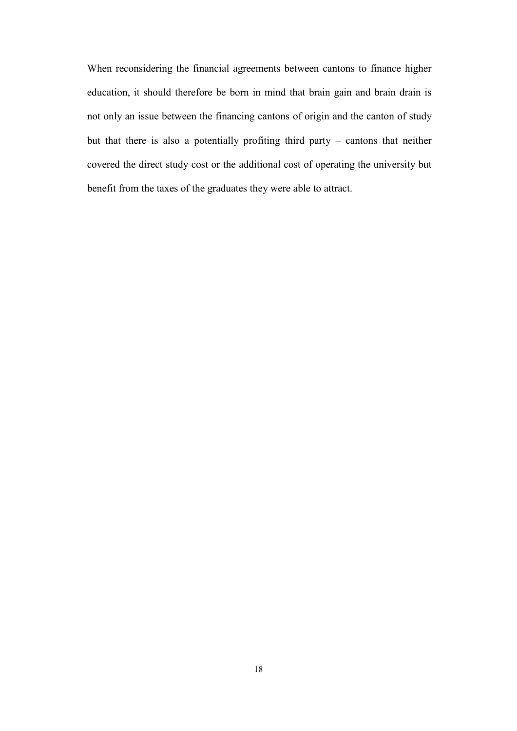When reconsidering the financial agreements between cantons to finance higher education, it should therefore be born in mind that brain gain and brain drain is not only an issue between the financing cantons of origin and the canton of study but that there is also a potentially profiting third party – cantons that neither covered the direct study cost or the additional cost of operating the university but benefit from the taxes of the graduates they were able to attract.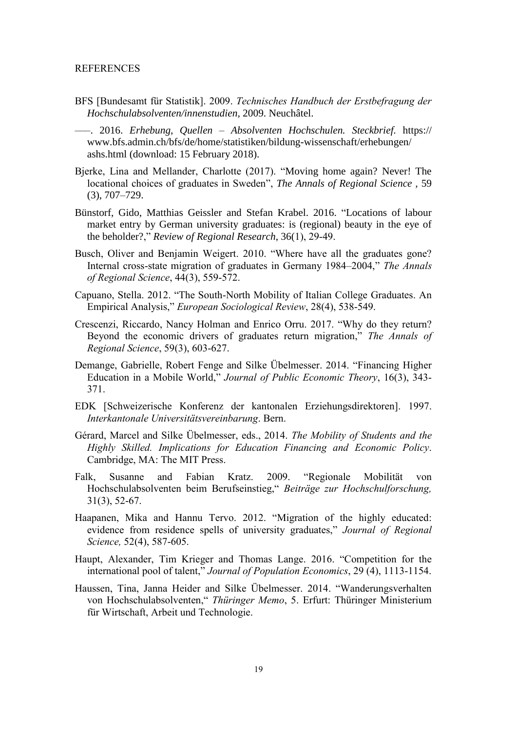#### REFERENCES

- BFS [Bundesamt für Statistik]. 2009. *Technisches Handbuch der Erstbefragung der Hochschulabsolventen/innenstudien,* 2009. Neuchâtel.
- –––. 2016. *Erhebung, Quellen – Absolventen Hochschulen. Steckbrief.* https:// www.bfs.admin.ch/bfs/de/home/statistiken/bildung-wissenschaft/erhebungen/ ashs.html (download: 15 February 2018).
- Bjerke, Lina and Mellander, Charlotte (2017). "Moving home again? Never! The locational choices of graduates in Sweden", *The Annals of Regional Science ,* 59 (3), 707–729.
- Bünstorf, Gido, Matthias Geissler and Stefan Krabel. 2016. "Locations of labour market entry by German university graduates: is (regional) beauty in the eye of the beholder?," *Review of Regional Research*, 36(1), 29-49.
- Busch, Oliver and Benjamin Weigert. 2010. "Where have all the graduates gone? Internal cross-state migration of graduates in Germany 1984–2004," *The Annals of Regional Science*, 44(3), 559-572.
- Capuano, Stella. 2012. "The South-North Mobility of Italian College Graduates. An Empirical Analysis," *European Sociological Review*, 28(4), 538-549.
- Crescenzi, Riccardo, Nancy Holman and Enrico Orru. 2017. "Why do they return? Beyond the economic drivers of graduates return migration," *The Annals of Regional Science*, 59(3), 603-627.
- Demange, Gabrielle, Robert Fenge and Silke Übelmesser. 2014. "Financing Higher Education in a Mobile World," *Journal of Public Economic Theory*, 16(3), 343- 371.
- EDK [Schweizerische Konferenz der kantonalen Erziehungsdirektoren]. 1997. *Interkantonale Universitätsvereinbarung*. Bern.
- Gérard, Marcel and Silke Übelmesser, eds., 2014. *The Mobility of Students and the Highly Skilled. Implications for Education Financing and Economic Policy*. Cambridge, MA: The MIT Press.
- Falk, Susanne and Fabian Kratz. 2009. "Regionale Mobilität von Hochschulabsolventen beim Berufseinstieg," *Beiträge zur Hochschulforschung,* 31(3), 52-67.
- Haapanen, Mika and Hannu Tervo. 2012. "Migration of the highly educated: evidence from residence spells of university graduates," *Journal of Regional Science,* 52(4), 587-605.
- Haupt, Alexander, Tim Krieger and Thomas Lange. 2016. "Competition for the international pool of talent," *Journal of Population Economics*, 29 (4), 1113-1154.
- Haussen, Tina, Janna Heider and Silke Übelmesser. 2014. "Wanderungsverhalten von Hochschulabsolventen," *Thüringer Memo*, 5. Erfurt: Thüringer Ministerium für Wirtschaft, Arbeit und Technologie.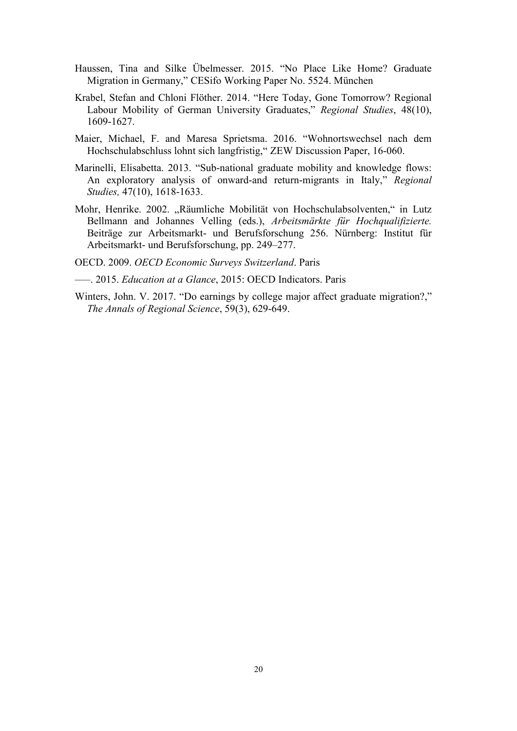- Haussen, Tina and Silke Übelmesser. 2015. "No Place Like Home? Graduate Migration in Germany," CESifo Working Paper No. 5524. München
- Krabel, Stefan and Chloni Flöther. 2014. "Here Today, Gone Tomorrow? Regional Labour Mobility of German University Graduates," *Regional Studies*, 48(10), 1609-1627.
- Maier, Michael, F. and Maresa Sprietsma. 2016. "Wohnortswechsel nach dem Hochschulabschluss lohnt sich langfristig," ZEW Discussion Paper, 16-060.
- Marinelli, Elisabetta. 2013. "Sub-national graduate mobility and knowledge flows: An exploratory analysis of onward-and return-migrants in Italy," *Regional Studies,* 47(10), 1618-1633.
- Mohr, Henrike. 2002. "Räumliche Mobilität von Hochschulabsolventen," in Lutz Bellmann and Johannes Velling (eds.), *Arbeitsmärkte für Hochqualifizierte.* Beiträge zur Arbeitsmarkt- und Berufsforschung 256. Nürnberg: Institut für Arbeitsmarkt- und Berufsforschung, pp. 249–277.
- OECD. 2009. *OECD Economic Surveys Switzerland*. Paris
- –––. 2015. *Education at a Glance*, 2015: OECD Indicators. Paris
- Winters, John. V. 2017. "Do earnings by college major affect graduate migration?," *The Annals of Regional Science*, 59(3), 629-649.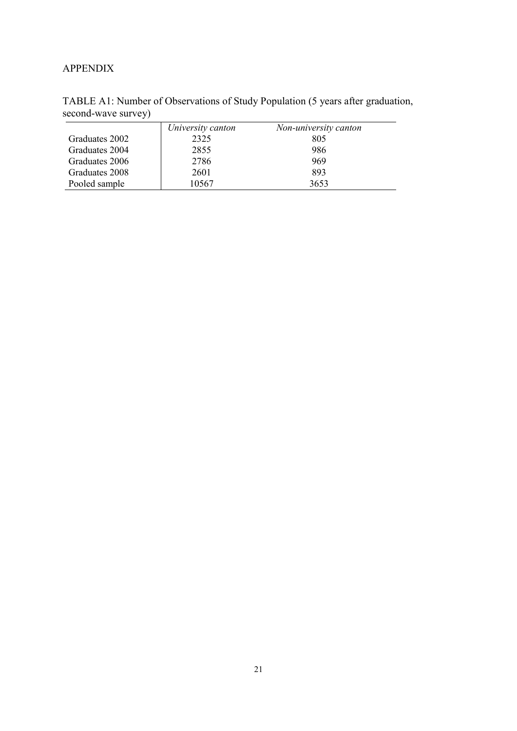### APPENDIX

| TABLE A1: Number of Observations of Study Population (5 years after graduation, |  |  |  |  |  |
|---------------------------------------------------------------------------------|--|--|--|--|--|
| second-wave survey)                                                             |  |  |  |  |  |
|                                                                                 |  |  |  |  |  |

|                | University canton | Non-university canton |
|----------------|-------------------|-----------------------|
| Graduates 2002 | 2325              | 805                   |
| Graduates 2004 | 2855              | 986                   |
| Graduates 2006 | 2786              | 969                   |
| Graduates 2008 | 2601              | 893                   |
| Pooled sample  | 10567             | 3653                  |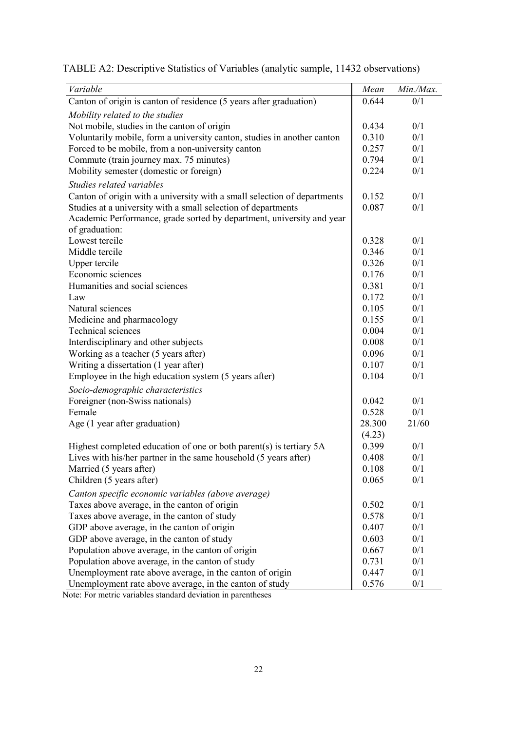| Variable                                                                 | Mean   | Min./Max. |
|--------------------------------------------------------------------------|--------|-----------|
| Canton of origin is canton of residence (5 years after graduation)       | 0.644  | 0/1       |
| Mobility related to the studies                                          |        |           |
| Not mobile, studies in the canton of origin                              | 0.434  | 0/1       |
| Voluntarily mobile, form a university canton, studies in another canton  | 0.310  | 0/1       |
| Forced to be mobile, from a non-university canton                        | 0.257  | 0/1       |
| Commute (train journey max. 75 minutes)                                  | 0.794  | 0/1       |
| Mobility semester (domestic or foreign)                                  | 0.224  | 0/1       |
| Studies related variables                                                |        |           |
| Canton of origin with a university with a small selection of departments | 0.152  | 0/1       |
| Studies at a university with a small selection of departments            | 0.087  | 0/1       |
| Academic Performance, grade sorted by department, university and year    |        |           |
| of graduation:                                                           |        |           |
| Lowest tercile                                                           | 0.328  | 0/1       |
| Middle tercile                                                           | 0.346  | 0/1       |
| Upper tercile                                                            | 0.326  | 0/1       |
| Economic sciences                                                        | 0.176  | 0/1       |
| Humanities and social sciences                                           | 0.381  | 0/1       |
| Law                                                                      | 0.172  | 0/1       |
| Natural sciences                                                         | 0.105  | 0/1       |
| Medicine and pharmacology                                                | 0.155  | 0/1       |
| <b>Technical sciences</b>                                                | 0.004  | 0/1       |
| Interdisciplinary and other subjects                                     | 0.008  | 0/1       |
| Working as a teacher (5 years after)                                     | 0.096  | 0/1       |
| Writing a dissertation (1 year after)                                    | 0.107  | 0/1       |
| Employee in the high education system (5 years after)                    | 0.104  | 0/1       |
| Socio-demographic characteristics                                        |        |           |
| Foreigner (non-Swiss nationals)                                          | 0.042  | 0/1       |
| Female                                                                   | 0.528  | 0/1       |
| Age (1 year after graduation)                                            | 28.300 | 21/60     |
|                                                                          | (4.23) |           |
| Highest completed education of one or both parent(s) is tertiary 5A      | 0.399  | 0/1       |
| Lives with his/her partner in the same household (5 years after)         | 0.408  | 0/1       |
| Married (5 years after)                                                  | 0.108  | 0/1       |
| Children (5 years after)                                                 | 0.065  | 0/1       |
| Canton specific economic variables (above average)                       |        |           |
| Taxes above average, in the canton of origin                             | 0.502  | 0/1       |
| Taxes above average, in the canton of study                              | 0.578  | 0/1       |
| GDP above average, in the canton of origin                               | 0.407  | 0/1       |
| GDP above average, in the canton of study                                | 0.603  | 0/1       |
| Population above average, in the canton of origin                        | 0.667  | 0/1       |
| Population above average, in the canton of study                         | 0.731  | 0/1       |
| Unemployment rate above average, in the canton of origin                 | 0.447  | 0/1       |
| Unemployment rate above average, in the canton of study                  | 0.576  | 0/1       |

TABLE A2: Descriptive Statistics of Variables (analytic sample, 11432 observations)

Note: For metric variables standard deviation in parentheses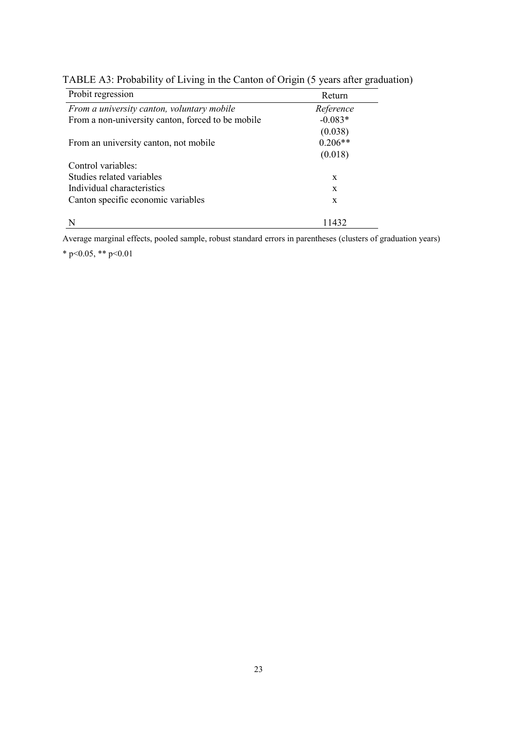| Probit regression                                 | Return    |
|---------------------------------------------------|-----------|
| From a university canton, voluntary mobile        | Reference |
| From a non-university canton, forced to be mobile | $-0.083*$ |
|                                                   | (0.038)   |
| From an university canton, not mobile             | $0.206**$ |
|                                                   | (0.018)   |
| Control variables:                                |           |
| Studies related variables                         | X         |
| Individual characteristics                        | X         |
| Canton specific economic variables                | X         |
|                                                   | 11432     |

TABLE A3: Probability of Living in the Canton of Origin (5 years after graduation)

Average marginal effects, pooled sample, robust standard errors in parentheses (clusters of graduation years) \* p<0.05, \*\* p<0.01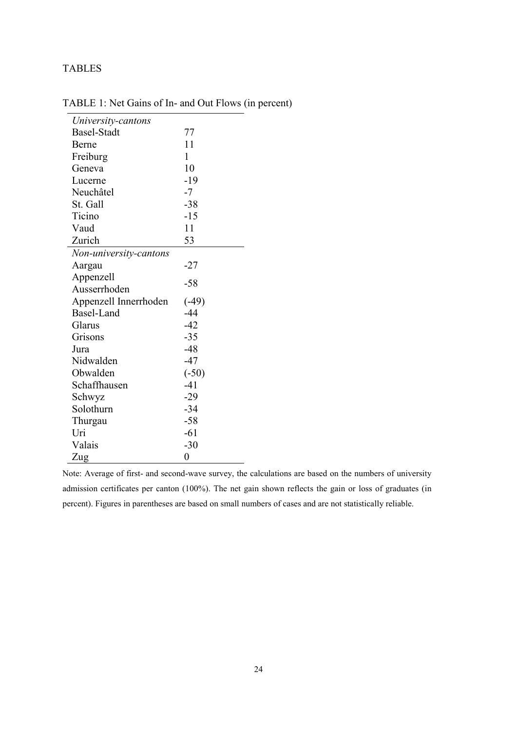#### TABLES

| University-cantons     |         |
|------------------------|---------|
| <b>Basel-Stadt</b>     | 77      |
| Berne                  | 11      |
| Freiburg               | 1       |
| Geneva                 | 10      |
| Lucerne                | $-19$   |
| Neuchâtel              | $-7$    |
| St. Gall               | $-38$   |
| Ticino                 | $-15$   |
| Vaud                   | 11      |
| Zurich                 | 53      |
| Non-university-cantons |         |
| Aargau                 | $-27$   |
| Appenzell              | $-58$   |
| Ausserrhoden           |         |
| Appenzell Innerrhoden  | $(-49)$ |
| Basel-Land             | $-44$   |
| Glarus                 | $-42$   |
| Grisons                | $-35$   |
| Jura                   | -48     |
| Nidwalden              | $-47$   |
| Obwalden               | $(-50)$ |
| Schaffhausen           | $-41$   |
| Schwyz                 | $-29$   |
| Solothurn              | $-34$   |
| Thurgau                | $-58$   |
| Uri                    | $-61$   |
| Valais                 | $-30$   |
| Zug                    | 0       |

TABLE 1: Net Gains of In- and Out Flows (in percent)

Note: Average of first- and second-wave survey, the calculations are based on the numbers of university admission certificates per canton (100%). The net gain shown reflects the gain or loss of graduates (in percent). Figures in parentheses are based on small numbers of cases and are not statistically reliable.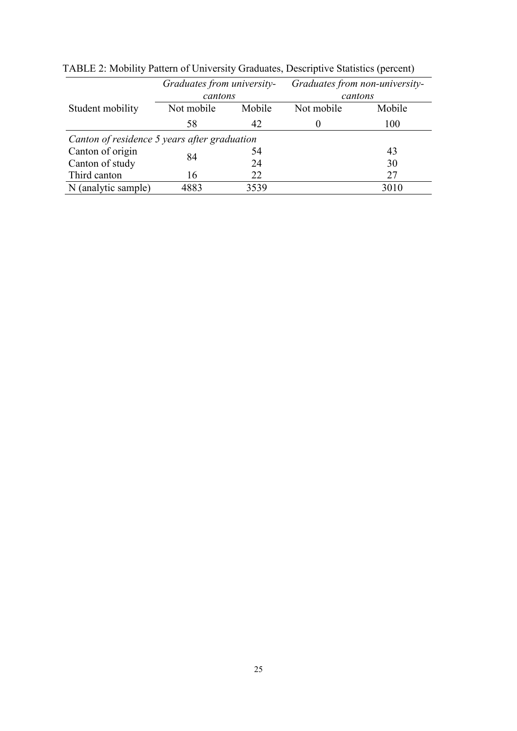|                                              | Graduates from university-<br>cantons |        | Graduates from non-university-<br>cantons |        |  |
|----------------------------------------------|---------------------------------------|--------|-------------------------------------------|--------|--|
| Student mobility                             | Not mobile                            | Mobile | Not mobile                                | Mobile |  |
|                                              | 58                                    | 42     |                                           | 100    |  |
| Canton of residence 5 years after graduation |                                       |        |                                           |        |  |
| Canton of origin                             |                                       | 54     |                                           | 43     |  |
| Canton of study                              | 84                                    | 24     |                                           | 30     |  |
| Third canton                                 | 16                                    | 22     |                                           | 27     |  |
| N (analytic sample)                          | 4883                                  | 3539   |                                           | 3010   |  |

TABLE 2: Mobility Pattern of University Graduates, Descriptive Statistics (percent)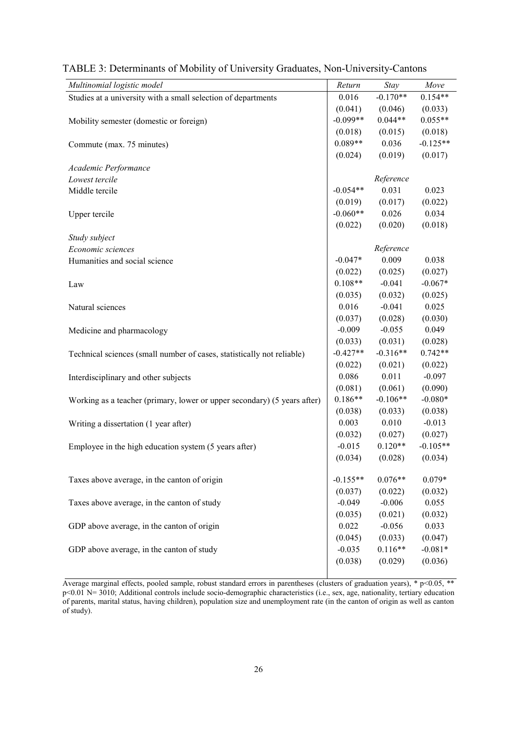| Multinomial logistic model                                               | Return     | Stay       | Move       |
|--------------------------------------------------------------------------|------------|------------|------------|
| Studies at a university with a small selection of departments            | 0.016      | $-0.170**$ | $0.154**$  |
|                                                                          | (0.041)    | (0.046)    | (0.033)    |
| Mobility semester (domestic or foreign)                                  | $-0.099**$ | $0.044**$  | $0.055**$  |
|                                                                          | (0.018)    | (0.015)    | (0.018)    |
| Commute (max. 75 minutes)                                                | $0.089**$  | 0.036      | $-0.125**$ |
|                                                                          | (0.024)    | (0.019)    | (0.017)    |
| Academic Performance                                                     |            |            |            |
| Lowest tercile                                                           |            | Reference  |            |
| Middle tercile                                                           | $-0.054**$ | 0.031      | 0.023      |
|                                                                          | (0.019)    | (0.017)    | (0.022)    |
| Upper tercile                                                            | $-0.060**$ | 0.026      | 0.034      |
|                                                                          | (0.022)    | (0.020)    | (0.018)    |
| Study subject                                                            |            |            |            |
| Economic sciences                                                        |            | Reference  |            |
| Humanities and social science                                            | $-0.047*$  | 0.009      | 0.038      |
|                                                                          | (0.022)    | (0.025)    | (0.027)    |
| Law                                                                      | $0.108**$  | $-0.041$   | $-0.067*$  |
|                                                                          | (0.035)    | (0.032)    | (0.025)    |
| Natural sciences                                                         | 0.016      | $-0.041$   | 0.025      |
|                                                                          | (0.037)    | (0.028)    | (0.030)    |
| Medicine and pharmacology                                                | $-0.009$   | $-0.055$   | 0.049      |
|                                                                          | (0.033)    | (0.031)    | (0.028)    |
| Technical sciences (small number of cases, statistically not reliable)   | $-0.427**$ | $-0.316**$ | $0.742**$  |
|                                                                          | (0.022)    | (0.021)    | (0.022)    |
| Interdisciplinary and other subjects                                     | 0.086      | 0.011      | $-0.097$   |
|                                                                          | (0.081)    | (0.061)    | (0.090)    |
| Working as a teacher (primary, lower or upper secondary) (5 years after) | $0.186**$  | $-0.106**$ | $-0.080*$  |
|                                                                          | (0.038)    | (0.033)    | (0.038)    |
| Writing a dissertation (1 year after)                                    | 0.003      | 0.010      | $-0.013$   |
|                                                                          | (0.032)    | (0.027)    | (0.027)    |
| Employee in the high education system (5 years after)                    | $-0.015$   | $0.120**$  | $-0.105**$ |
|                                                                          | (0.034)    | (0.028)    | (0.034)    |
|                                                                          |            |            |            |
| Taxes above average, in the canton of origin                             | $-0.155**$ | $0.076**$  | $0.079*$   |
|                                                                          | (0.037)    | (0.022)    | (0.032)    |
| Taxes above average, in the canton of study                              | $-0.049$   | $-0.006$   | 0.055      |
|                                                                          | (0.035)    | (0.021)    | (0.032)    |
| GDP above average, in the canton of origin                               | 0.022      | $-0.056$   | 0.033      |
|                                                                          | (0.045)    | (0.033)    | (0.047)    |
| GDP above average, in the canton of study                                | $-0.035$   | $0.116**$  | $-0.081*$  |
|                                                                          | (0.038)    | (0.029)    | (0.036)    |
|                                                                          |            |            |            |

### TABLE 3: Determinants of Mobility of University Graduates, Non-University-Cantons

Average marginal effects, pooled sample, robust standard errors in parentheses (clusters of graduation years), \* p<0.05, \*\* p<0.01 N= 3010; Additional controls include socio-demographic characteristics (i.e., sex, age, nationality, tertiary education of parents, marital status, having children), population size and unemployment rate (in the canton of origin as well as canton of study).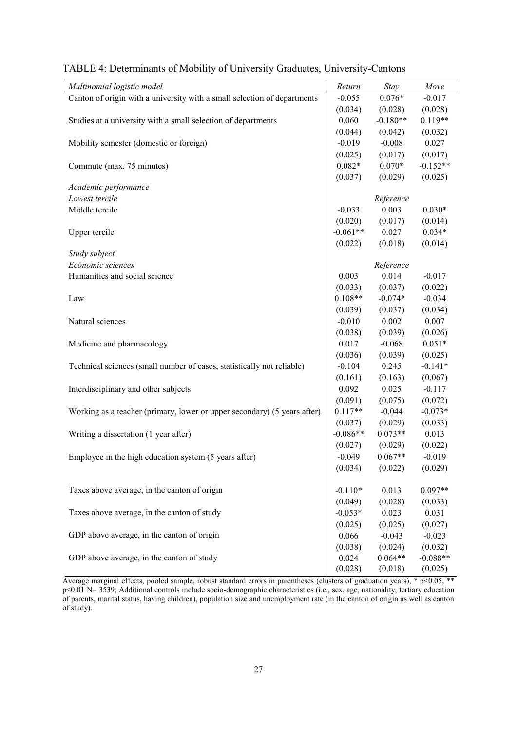| Multinomial logistic model                                               | Return               | Stay                 | Move             |
|--------------------------------------------------------------------------|----------------------|----------------------|------------------|
| Canton of origin with a university with a small selection of departments | $-0.055$             | $0.076*$             | $-0.017$         |
|                                                                          | (0.034)              | (0.028)              | (0.028)          |
| Studies at a university with a small selection of departments            | 0.060                | $-0.180**$           | $0.119**$        |
|                                                                          | (0.044)              | (0.042)              | (0.032)          |
| Mobility semester (domestic or foreign)                                  | $-0.019$             | $-0.008$             | 0.027            |
|                                                                          | (0.025)              | (0.017)              | (0.017)          |
| Commute (max. 75 minutes)                                                | $0.082*$             | $0.070*$             | $-0.152**$       |
|                                                                          | (0.037)              | (0.029)              | (0.025)          |
| Academic performance                                                     |                      |                      |                  |
| Lowest tercile                                                           |                      | Reference            |                  |
| Middle tercile                                                           | $-0.033$             | 0.003                | $0.030*$         |
|                                                                          | (0.020)              | (0.017)              | (0.014)          |
| Upper tercile                                                            | $-0.061**$           | 0.027                | $0.034*$         |
|                                                                          | (0.022)              | (0.018)              | (0.014)          |
| Study subject                                                            |                      |                      |                  |
| Economic sciences                                                        |                      | Reference            |                  |
| Humanities and social science                                            | 0.003                | 0.014                | $-0.017$         |
|                                                                          | (0.033)              | (0.037)              | (0.022)          |
| Law                                                                      | $0.108**$            | $-0.074*$            | $-0.034$         |
|                                                                          | (0.039)              | (0.037)              | (0.034)          |
| Natural sciences                                                         | $-0.010$             | 0.002                | 0.007            |
|                                                                          | (0.038)              | (0.039)              | (0.026)          |
| Medicine and pharmacology                                                | 0.017                | $-0.068$             | $0.051*$         |
|                                                                          | (0.036)              | (0.039)              | (0.025)          |
| Technical sciences (small number of cases, statistically not reliable)   | $-0.104$             | 0.245                | $-0.141*$        |
|                                                                          | (0.161)              | (0.163)              | (0.067)          |
| Interdisciplinary and other subjects                                     | 0.092                | 0.025                | $-0.117$         |
|                                                                          | (0.091)              | (0.075)              | (0.072)          |
| Working as a teacher (primary, lower or upper secondary) (5 years after) | $0.117**$            | $-0.044$             | $-0.073*$        |
|                                                                          | (0.037)              | (0.029)              | (0.033)          |
| Writing a dissertation (1 year after)                                    | $-0.086**$           | $0.073**$            | 0.013            |
|                                                                          | (0.027)<br>$-0.049$  | (0.029)<br>$0.067**$ | (0.022)          |
| Employee in the high education system (5 years after)                    |                      |                      | $-0.019$         |
|                                                                          | (0.034)              | (0.022)              | (0.029)          |
| Taxes above average, in the canton of origin                             | $-0.110*$            | 0.013                | $0.097**$        |
|                                                                          |                      |                      |                  |
| Taxes above average, in the canton of study                              | (0.049)<br>$-0.053*$ | (0.028)<br>0.023     | (0.033)<br>0.031 |
|                                                                          | (0.025)              | (0.025)              | (0.027)          |
| GDP above average, in the canton of origin                               | 0.066                | $-0.043$             | $-0.023$         |
|                                                                          | (0.038)              | (0.024)              | (0.032)          |
| GDP above average, in the canton of study                                | 0.024                | $0.064**$            | $-0.088**$       |
|                                                                          | (0.028)              | (0.018)              | (0.025)          |

### TABLE 4: Determinants of Mobility of University Graduates, University-Cantons

Average marginal effects, pooled sample, robust standard errors in parentheses (clusters of graduation years),  $*$  p<0.05,  $**$ p<0.01 N= 3539; Additional controls include socio-demographic characteristics (i.e., sex, age, nationality, tertiary education of parents, marital status, having children), population size and unemployment rate (in the canton of origin as well as canton of study).